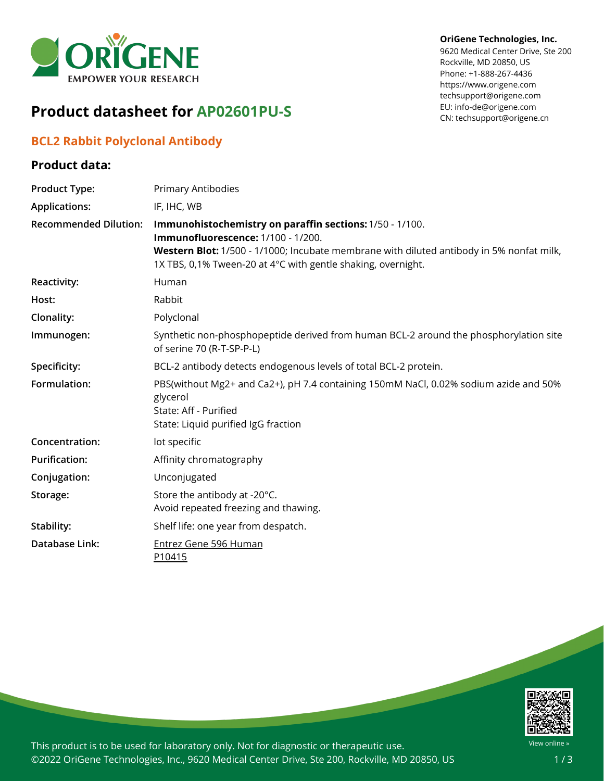

# **Product datasheet for AP02601PU-S**

## **BCL2 Rabbit Polyclonal Antibody**

### **Product data:**

#### **OriGene Technologies, Inc.**

9620 Medical Center Drive, Ste 200 Rockville, MD 20850, US Phone: +1-888-267-4436 https://www.origene.com techsupport@origene.com EU: info-de@origene.com CN: techsupport@origene.cn

| <b>Product Type:</b>         | <b>Primary Antibodies</b>                                                                                                                                                                                                                                  |
|------------------------------|------------------------------------------------------------------------------------------------------------------------------------------------------------------------------------------------------------------------------------------------------------|
| <b>Applications:</b>         | IF, IHC, WB                                                                                                                                                                                                                                                |
| <b>Recommended Dilution:</b> | Immunohistochemistry on paraffin sections: 1/50 - 1/100.<br>Immunofluorescence: 1/100 - 1/200.<br>Western Blot: 1/500 - 1/1000; Incubate membrane with diluted antibody in 5% nonfat milk,<br>1X TBS, 0,1% Tween-20 at 4°C with gentle shaking, overnight. |
| <b>Reactivity:</b>           | Human                                                                                                                                                                                                                                                      |
| Host:                        | Rabbit                                                                                                                                                                                                                                                     |
| Clonality:                   | Polyclonal                                                                                                                                                                                                                                                 |
| Immunogen:                   | Synthetic non-phosphopeptide derived from human BCL-2 around the phosphorylation site<br>of serine 70 (R-T-SP-P-L)                                                                                                                                         |
| Specificity:                 | BCL-2 antibody detects endogenous levels of total BCL-2 protein.                                                                                                                                                                                           |
| Formulation:                 | PBS(without Mg2+ and Ca2+), pH 7.4 containing 150mM NaCl, 0.02% sodium azide and 50%<br>glycerol<br>State: Aff - Purified<br>State: Liquid purified IgG fraction                                                                                           |
| Concentration:               | lot specific                                                                                                                                                                                                                                               |
| <b>Purification:</b>         | Affinity chromatography                                                                                                                                                                                                                                    |
| Conjugation:                 | Unconjugated                                                                                                                                                                                                                                               |
| Storage:                     | Store the antibody at -20°C.<br>Avoid repeated freezing and thawing.                                                                                                                                                                                       |
| Stability:                   | Shelf life: one year from despatch.                                                                                                                                                                                                                        |
| Database Link:               | <b>Entrez Gene 596 Human</b><br>P10415                                                                                                                                                                                                                     |



This product is to be used for laboratory only. Not for diagnostic or therapeutic use. ©2022 OriGene Technologies, Inc., 9620 Medical Center Drive, Ste 200, Rockville, MD 20850, US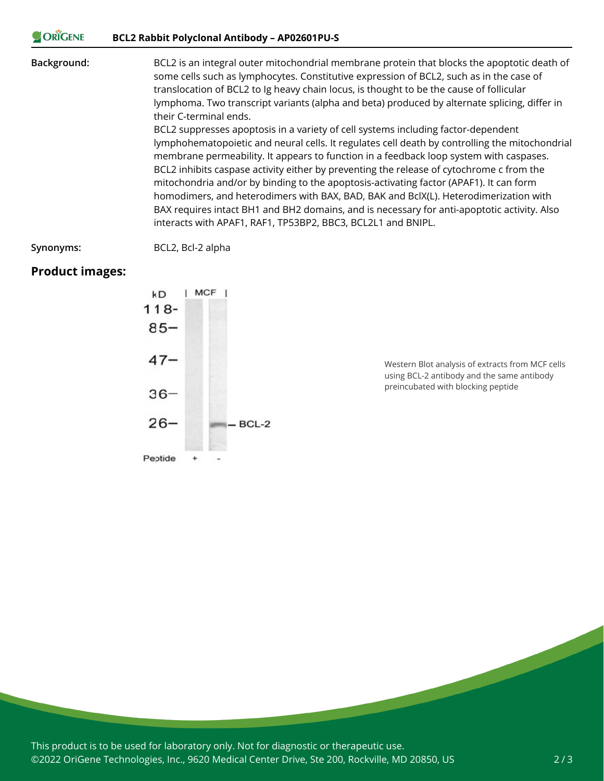#### **CORIGENE BCL2 Rabbit Polyclonal Antibody – AP02601PU-S**

**Background:** BCL2 is an integral outer mitochondrial membrane protein that blocks the apoptotic death of some cells such as lymphocytes. Constitutive expression of BCL2, such as in the case of translocation of BCL2 to Ig heavy chain locus, is thought to be the cause of follicular lymphoma. Two transcript variants (alpha and beta) produced by alternate splicing, differ in their C-terminal ends. BCL2 suppresses apoptosis in a variety of cell systems including factor-dependent lymphohematopoietic and neural cells. It regulates cell death by controlling the mitochondrial membrane permeability. It appears to function in a feedback loop system with caspases. BCL2 inhibits caspase activity either by preventing the release of cytochrome c from the mitochondria and/or by binding to the apoptosis-activating factor (APAF1). It can form

homodimers, and heterodimers with BAX, BAD, BAK and BclX(L). Heterodimerization with BAX requires intact BH1 and BH2 domains, and is necessary for anti-apoptotic activity. Also interacts with APAF1, RAF1, TP53BP2, BBC3, BCL2L1 and BNIPL.

**Synonyms:** BCL2, Bcl-2 alpha

### **Product images:**



Western Blot analysis of extracts from MCF cells using BCL-2 antibody and the same antibody preincubated with blocking peptide

This product is to be used for laboratory only. Not for diagnostic or therapeutic use. ©2022 OriGene Technologies, Inc., 9620 Medical Center Drive, Ste 200, Rockville, MD 20850, US